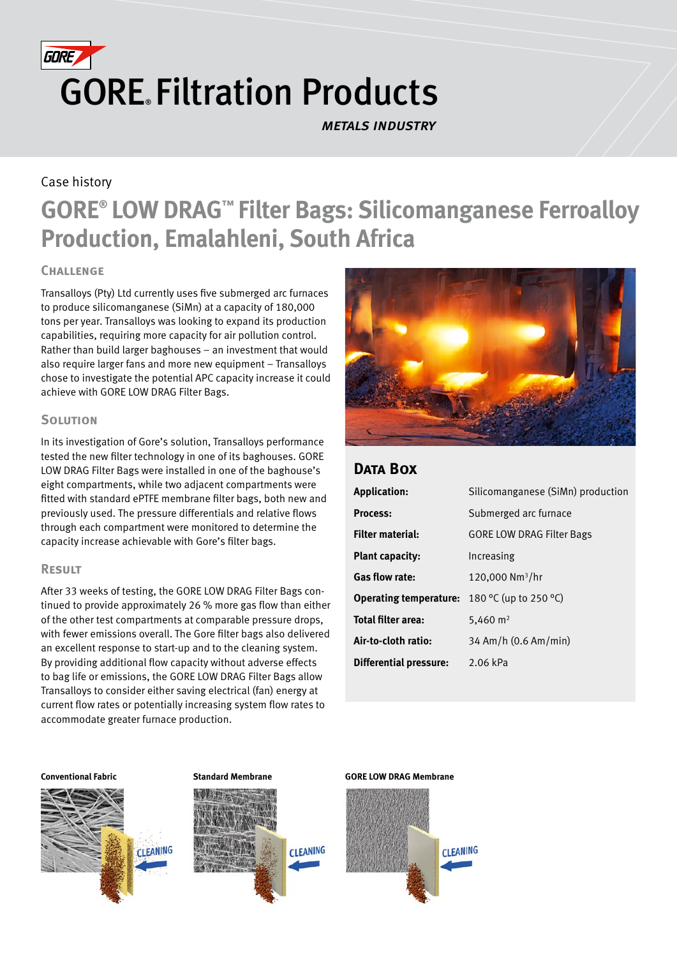

*metals industry*

## Case history

# **GORE® LOW DRAG™ Filter Bags: Silicomanganese Ferroalloy Production, Emalahleni, South Africa**

#### **Challenge**

Transalloys (Pty) Ltd currently uses five submerged arc furnaces to produce silicomanganese (SiMn) at a capacity of 180,000 tons per year. Transalloys was looking to expand its production capabilities, requiring more capacity for air pollution control. Rather than build larger baghouses – an investment that would also require larger fans and more new equipment – Transalloys chose to investigate the potential APC capacity increase it could achieve with GORE LOW DRAG Filter Bags.

### **SOLUTION**

In its investigation of Gore's solution, Transalloys performance tested the new filter technology in one of its baghouses. GORE LOW DRAG Filter Bags were installed in one of the baghouse's eight compartments, while two adjacent compartments were fitted with standard ePTFE membrane filter bags, both new and previously used. The pressure differentials and relative flows through each compartment were monitored to determine the capacity increase achievable with Gore's filter bags.

#### **Result**

After 33 weeks of testing, the GORE LOW DRAG Filter Bags continued to provide approximately 26 % more gas flow than either of the other test compartments at comparable pressure drops, with fewer emissions overall. The Gore filter bags also delivered an excellent response to start-up and to the cleaning system. By providing additional flow capacity without adverse effects to bag life or emissions, the GORE LOW DRAG Filter Bags allow Transalloys to consider either saving electrical (fan) energy at current flow rates or potentially increasing system flow rates to accommodate greater furnace production.



## **Data Box**

| <b>Application:</b>           | Silicomanganese (SiMn) production |
|-------------------------------|-----------------------------------|
| <b>Process:</b>               | Submerged arc furnace             |
| <b>Filter material:</b>       | <b>GORE LOW DRAG Filter Bags</b>  |
| <b>Plant capacity:</b>        | Increasing                        |
| <b>Gas flow rate:</b>         | 120,000 $Nm^3/hr$                 |
| <b>Operating temperature:</b> | 180 °C (up to 250 °C)             |
| Total filter area:            | 5,460 $m2$                        |
| Air-to-cloth ratio:           | 34 Am/h (0.6 Am/min)              |
| <b>Differential pressure:</b> | 2.06 kPa                          |